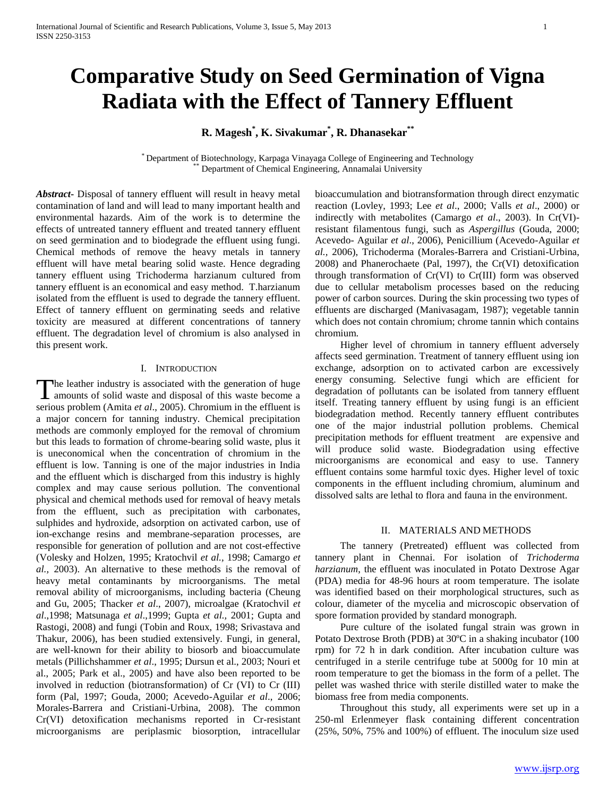# **Comparative Study on Seed Germination of Vigna Radiata with the Effect of Tannery Effluent**

**R. Magesh\* , K. Sivakumar\* , R. Dhanasekar\*\***

\* Department of Biotechnology, Karpaga Vinayaga College of Engineering and Technology Department of Chemical Engineering, Annamalai University

*Abstract***-** Disposal of tannery effluent will result in heavy metal contamination of land and will lead to many important health and environmental hazards. Aim of the work is to determine the effects of untreated tannery effluent and treated tannery effluent on seed germination and to biodegrade the effluent using fungi. Chemical methods of remove the heavy metals in tannery effluent will have metal bearing solid waste. Hence degrading tannery effluent using Trichoderma harzianum cultured from tannery effluent is an economical and easy method. T.harzianum isolated from the effluent is used to degrade the tannery effluent. Effect of tannery effluent on germinating seeds and relative toxicity are measured at different concentrations of tannery effluent. The degradation level of chromium is also analysed in this present work.

## I. INTRODUCTION

The leather industry is associated with the generation of huge The leather industry is associated with the generation of huge<br>amounts of solid waste and disposal of this waste become a serious problem (Amita *et al*., 2005). Chromium in the effluent is a major concern for tanning industry. Chemical precipitation methods are commonly employed for the removal of chromium but this leads to formation of chrome-bearing solid waste, plus it is uneconomical when the concentration of chromium in the effluent is low. Tanning is one of the major industries in India and the effluent which is discharged from this industry is highly complex and may cause serious pollution. The conventional physical and chemical methods used for removal of heavy metals from the effluent, such as precipitation with carbonates, sulphides and hydroxide, adsorption on activated carbon, use of ion-exchange resins and membrane-separation processes, are responsible for generation of pollution and are not cost-effective (Volesky and Holzen, 1995; Kratochvil *et al.,* 1998; Camargo *et al.,* 2003). An alternative to these methods is the removal of heavy metal contaminants by microorganisms. The metal removal ability of microorganisms, including bacteria (Cheung and Gu, 2005; Thacker *et al*., 2007), microalgae (Kratochvil *et al*.,1998; Matsunaga *et al*.,1999; Gupta *et al.,* 2001; Gupta and Rastogi, 2008) and fungi (Tobin and Roux, 1998; Srivastava and Thakur, 2006), has been studied extensively. Fungi, in general, are well-known for their ability to biosorb and bioaccumulate metals (Pillichshammer *et al*., 1995; Dursun et al., 2003; Nouri et al., 2005; Park et al., 2005) and have also been reported to be involved in reduction (biotransformation) of Cr (VI) to Cr (III) form (Pal, 1997; Gouda, 2000; Acevedo-Aguilar *et al*., 2006; Morales-Barrera and Cristiani-Urbina, 2008). The common Cr(VI) detoxification mechanisms reported in Cr-resistant microorganisms are periplasmic biosorption, intracellular

bioaccumulation and biotransformation through direct enzymatic reaction (Lovley, 1993; Lee *et al*., 2000; Valls *et al*., 2000) or indirectly with metabolites (Camargo *et al*., 2003). In Cr(VI) resistant filamentous fungi, such as *Aspergillus* (Gouda, 2000; Acevedo- Aguilar *et al*., 2006), Penicillium (Acevedo-Aguilar *et al.,* 2006), Trichoderma (Morales-Barrera and Cristiani-Urbina, 2008) and Phanerochaete (Pal, 1997), the Cr(VI) detoxification through transformation of Cr(VI) to Cr(III) form was observed due to cellular metabolism processes based on the reducing power of carbon sources. During the skin processing two types of effluents are discharged (Manivasagam, 1987); vegetable tannin which does not contain chromium; chrome tannin which contains chromium.

 Higher level of chromium in tannery effluent adversely affects seed germination. Treatment of tannery effluent using ion exchange, adsorption on to activated carbon are excessively energy consuming. Selective fungi which are efficient for degradation of pollutants can be isolated from tannery effluent itself. Treating tannery effluent by using fungi is an efficient biodegradation method. Recently tannery effluent contributes one of the major industrial pollution problems. Chemical precipitation methods for effluent treatment are expensive and will produce solid waste. Biodegradation using effective microorganisms are economical and easy to use. Tannery effluent contains some harmful toxic dyes. Higher level of toxic components in the effluent including chromium, aluminum and dissolved salts are lethal to flora and fauna in the environment.

## II. MATERIALS AND METHODS

 The tannery (Pretreated) effluent was collected from tannery plant in Chennai. For isolation of *Trichoderma harzianum*, the effluent was inoculated in Potato Dextrose Agar (PDA) media for 48-96 hours at room temperature. The isolate was identified based on their morphological structures, such as colour, diameter of the mycelia and microscopic observation of spore formation provided by standard monograph.

 Pure culture of the isolated fungal strain was grown in Potato Dextrose Broth (PDB) at 30ºC in a shaking incubator (100 rpm) for 72 h in dark condition. After incubation culture was centrifuged in a sterile centrifuge tube at 5000g for 10 min at room temperature to get the biomass in the form of a pellet. The pellet was washed thrice with sterile distilled water to make the biomass free from media components.

 Throughout this study, all experiments were set up in a 250-ml Erlenmeyer flask containing different concentration (25%, 50%, 75% and 100%) of effluent. The inoculum size used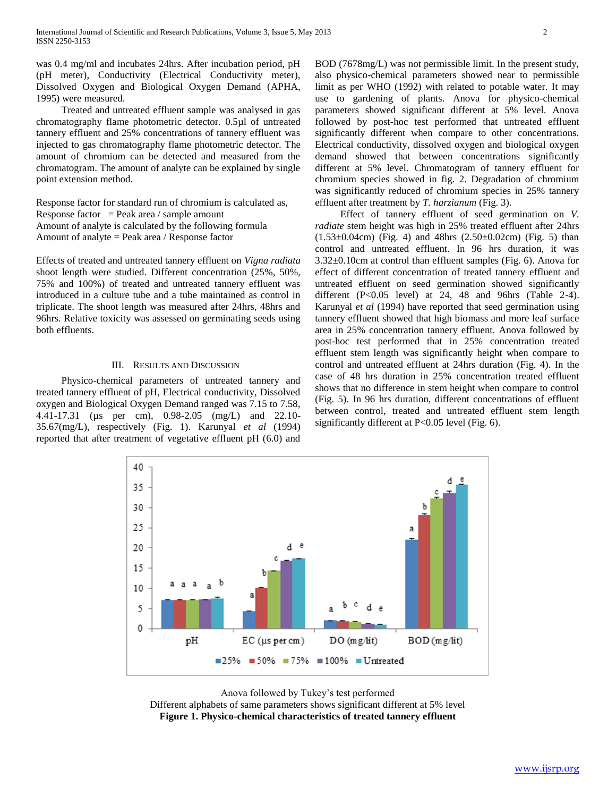was 0.4 mg/ml and incubates 24hrs. After incubation period, pH (pH meter), Conductivity (Electrical Conductivity meter), Dissolved Oxygen and Biological Oxygen Demand (APHA, 1995) were measured.

 Treated and untreated effluent sample was analysed in gas chromatography flame photometric detector. 0.5µl of untreated tannery effluent and 25% concentrations of tannery effluent was injected to gas chromatography flame photometric detector. The amount of chromium can be detected and measured from the chromatogram. The amount of analyte can be explained by single point extension method.

Response factor for standard run of chromium is calculated as, Response factor = Peak area / sample amount Amount of analyte is calculated by the following formula Amount of analyte = Peak area / Response factor

Effects of treated and untreated tannery effluent on *Vigna radiata* shoot length were studied. Different concentration (25%, 50%, 75% and 100%) of treated and untreated tannery effluent was introduced in a culture tube and a tube maintained as control in triplicate. The shoot length was measured after 24hrs, 48hrs and 96hrs. Relative toxicity was assessed on germinating seeds using both effluents.

## III. RESULTS AND DISCUSSION

 Physico-chemical parameters of untreated tannery and treated tannery effluent of pH, Electrical conductivity, Dissolved oxygen and Biological Oxygen Demand ranged was 7.15 to 7.58, 4.41-17.31 (µs per cm), 0.98-2.05 (mg/L) and 22.10- 35.67(mg/L), respectively (Fig. 1). Karunyal *et al* (1994) reported that after treatment of vegetative effluent pH (6.0) and

> 40 35

 $30$ 25

20

15 10

> 5  $\theta$

> > pH

BOD (7678mg/L) was not permissible limit. In the present study, also physico-chemical parameters showed near to permissible limit as per WHO (1992) with related to potable water. It may use to gardening of plants. Anova for physico-chemical parameters showed significant different at 5% level. Anova followed by post-hoc test performed that untreated effluent significantly different when compare to other concentrations. Electrical conductivity, dissolved oxygen and biological oxygen demand showed that between concentrations significantly different at 5% level. Chromatogram of tannery effluent for chromium species showed in fig. 2. Degradation of chromium was significantly reduced of chromium species in 25% tannery effluent after treatment by *T. harzianum* (Fig. 3).

 Effect of tannery effluent of seed germination on *V. radiate* stem height was high in 25% treated effluent after 24hrs  $(1.53\pm0.04cm)$  (Fig. 4) and 48hrs  $(2.50\pm0.02cm)$  (Fig. 5) than control and untreated effluent. In 96 hrs duration, it was 3.32±0.10cm at control than effluent samples (Fig. 6). Anova for effect of different concentration of treated tannery effluent and untreated effluent on seed germination showed significantly different  $(P<0.05$  level) at 24, 48 and 96hrs (Table 2-4). Karunyal *et al* (1994) have reported that seed germination using tannery effluent showed that high biomass and more leaf surface area in 25% concentration tannery effluent. Anova followed by post-hoc test performed that in 25% concentration treated effluent stem length was significantly height when compare to control and untreated effluent at 24hrs duration (Fig. 4). In the case of 48 hrs duration in 25% concentration treated effluent shows that no difference in stem height when compare to control (Fig. 5). In 96 hrs duration, different concentrations of effluent between control, treated and untreated effluent stem length significantly different at P<0.05 level (Fig. 6).

 $BOD$  (mg/lit)



 $\blacksquare$ 25% = 50% = 75% = 100% = Untreated

 $DO(mg/lit)$ 

d e

 $EC$  ( $\mu s$  per cm)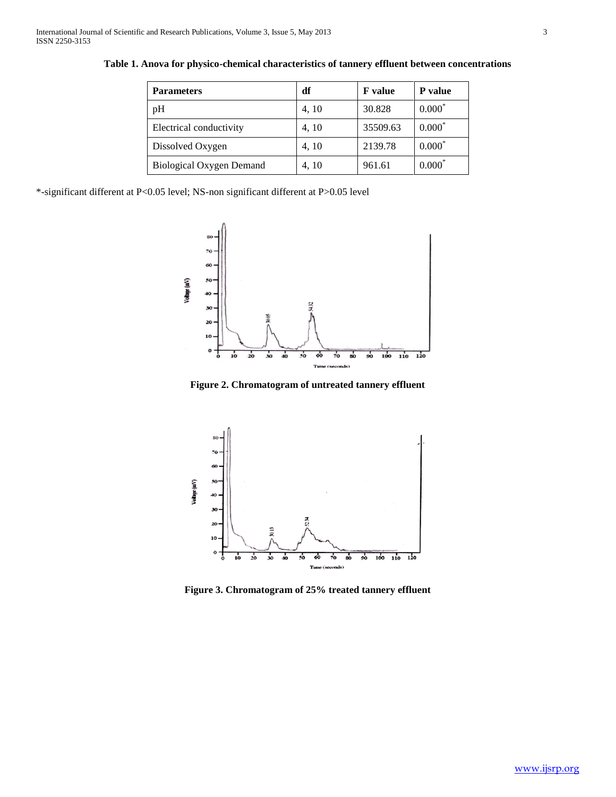| <b>Parameters</b>               | df    | <b>F</b> value | <b>P</b> value |
|---------------------------------|-------|----------------|----------------|
| pH                              | 4, 10 | 30.828         | $0.000*$       |
| Electrical conductivity         | 4, 10 | 35509.63       | $0.000*$       |
| Dissolved Oxygen                | 4, 10 | 2139.78        | $0.000*$       |
| <b>Biological Oxygen Demand</b> | 4, 10 | 961.61         | $0.000*$       |

**Table 1. Anova for physico-chemical characteristics of tannery effluent between concentrations**

\*-significant different at P<0.05 level; NS-non significant different at P>0.05 level



**Figure 2. Chromatogram of untreated tannery effluent**



**Figure 3. Chromatogram of 25% treated tannery effluent**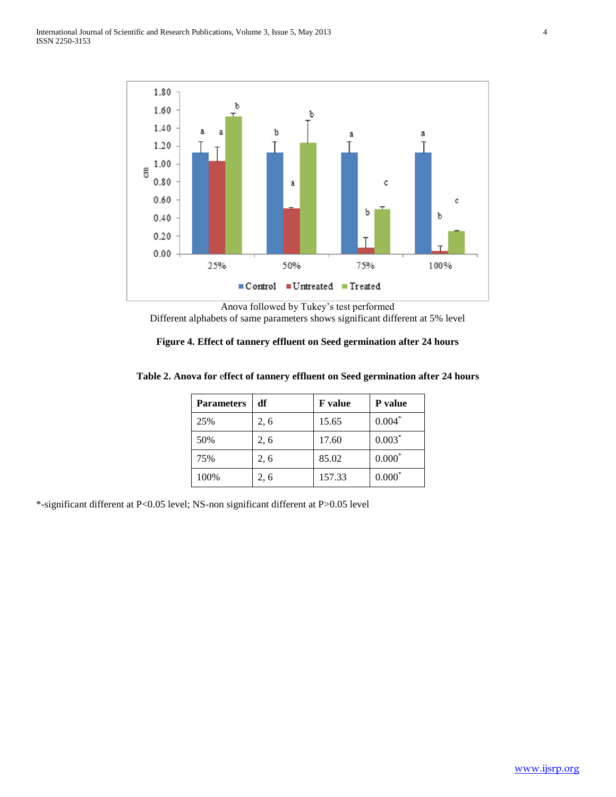

Anova followed by Tukey's test performed Different alphabets of same parameters shows significant different at 5% level

|  |  | Figure 4. Effect of tannery effluent on Seed germination after 24 hours |  |
|--|--|-------------------------------------------------------------------------|--|
|  |  |                                                                         |  |

| Table 2. Anova for effect of tannery effluent on Seed germination after 24 hours |  |  |  |
|----------------------------------------------------------------------------------|--|--|--|
|----------------------------------------------------------------------------------|--|--|--|

| <b>Parameters</b> | df   | <b>F</b> value | P value  |
|-------------------|------|----------------|----------|
| 25%               | 2, 6 | 15.65          | $0.004*$ |
| 50%               | 2, 6 | 17.60          | $0.003*$ |
| 75%               | 2, 6 | 85.02          | $0.000*$ |
| 100%              | 2.6  | 157.33         | $0.000*$ |

\*-significant different at P<0.05 level; NS-non significant different at P>0.05 level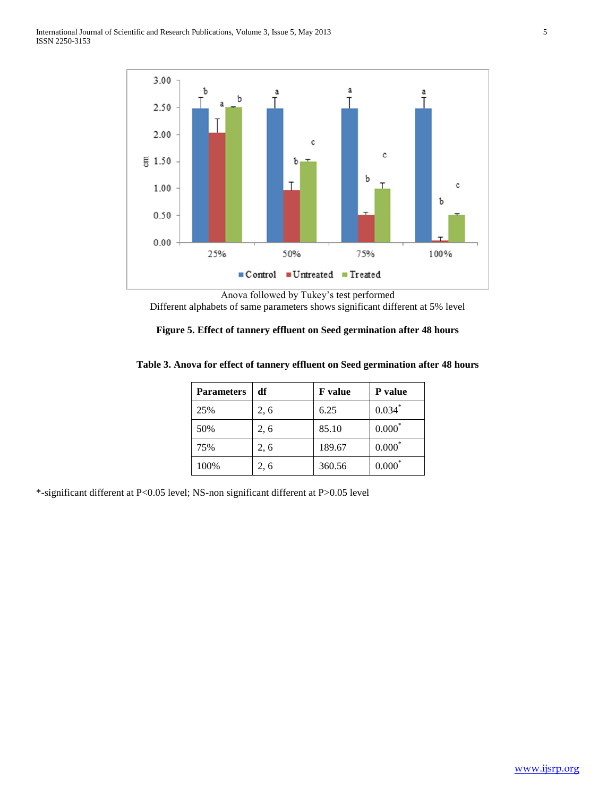

Anova followed by Tukey's test performed Different alphabets of same parameters shows significant different at 5% level

| Figure 5. Effect of tannery effluent on Seed germination after 48 hours |  |  |  |  |
|-------------------------------------------------------------------------|--|--|--|--|
|-------------------------------------------------------------------------|--|--|--|--|

| <b>Parameters</b> | df   | <b>F</b> value | P value  |
|-------------------|------|----------------|----------|
| 25%               | 2, 6 | 6.25           | $0.034*$ |
| 50%               | 2, 6 | 85.10          | $0.000*$ |
| 75%               | 2, 6 | 189.67         | $0.000*$ |
| 100%              | 2, 6 | 360.56         | $0.000*$ |

## **Table 3. Anova for effect of tannery effluent on Seed germination after 48 hours**

\*-significant different at P<0.05 level; NS-non significant different at P>0.05 level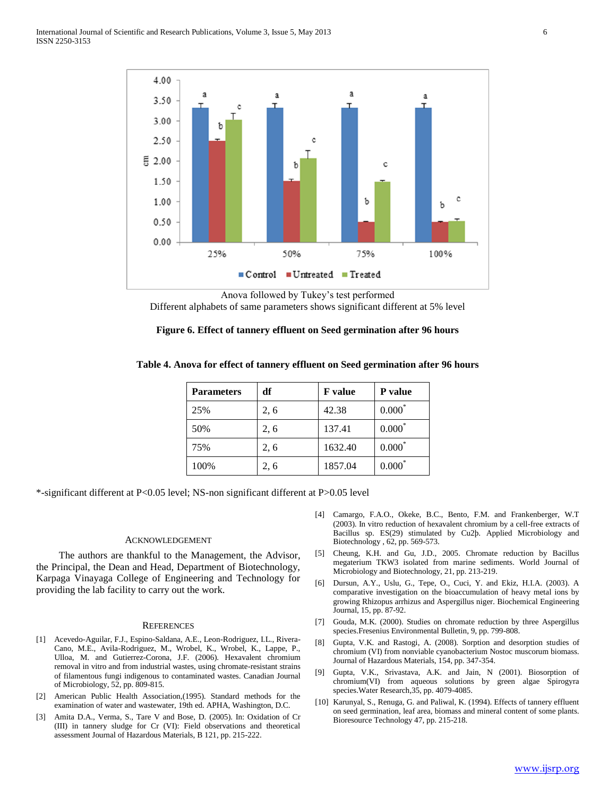

Anova followed by Tukey's test performed Different alphabets of same parameters shows significant different at 5% level

## **Figure 6. Effect of tannery effluent on Seed germination after 96 hours**

| <b>Parameters</b> | df   | <b>F</b> value | P value  |
|-------------------|------|----------------|----------|
| 25%               | 2, 6 | 42.38          | $0.000*$ |
| 50%               | 2, 6 | 137.41         | $0.000*$ |
| 75%               | 2, 6 | 1632.40        | $0.000*$ |
| 100%              | 2, 6 | 1857.04        | $0.000*$ |

#### **Table 4. Anova for effect of tannery effluent on Seed germination after 96 hours**

\*-significant different at P<0.05 level; NS-non significant different at P>0.05 level

#### ACKNOWLEDGEMENT

 The authors are thankful to the Management, the Advisor, the Principal, the Dean and Head, Department of Biotechnology, Karpaga Vinayaga College of Engineering and Technology for providing the lab facility to carry out the work.

#### **REFERENCES**

- [1] Acevedo-Aguilar, F.J., Espino-Saldana, A.E., Leon-Rodriguez, I.L., Rivera-Cano, M.E., Avila-Rodriguez, M., Wrobel, K., Wrobel, K., Lappe, P., Ulloa, M. and Gutierrez-Corona, J.F. (2006). Hexavalent chromium removal in vitro and from industrial wastes, using chromate-resistant strains of filamentous fungi indigenous to contaminated wastes. Canadian Journal of Microbiology, 52, pp. 809-815.
- [2] American Public Health Association,(1995). Standard methods for the examination of water and wastewater, 19th ed. APHA, Washington, D.C.
- [3] Amita D.A., Verma, S., Tare V and Bose, D. (2005). In: Oxidation of Cr (III) in tannery sludge for Cr (VI): Field observations and theoretical assessment Journal of Hazardous Materials, B 121, pp. 215-222.
- [4] Camargo, F.A.O., Okeke, B.C., Bento, F.M. and Frankenberger, W.T (2003). In vitro reduction of hexavalent chromium by a cell-free extracts of Bacillus sp. ES(29) stimulated by Cu2þ. Applied Microbiology and Biotechnology , 62, pp. 569-573.
- [5] Cheung, K.H. and Gu, J.D., 2005. Chromate reduction by Bacillus megaterium TKW3 isolated from marine sediments. World Journal of Microbiology and Biotechnology, 21, pp. 213-219.
- [6] Dursun, A.Y., Uslu, G., Tepe, O., Cuci, Y. and Ekiz, H.I.A. (2003). A comparative investigation on the bioaccumulation of heavy metal ions by growing Rhizopus arrhizus and Aspergillus niger. Biochemical Engineering Journal, 15, pp. 87-92.
- [7] Gouda, M.K. (2000). Studies on chromate reduction by three Aspergillus species.Fresenius Environmental Bulletin, 9, pp. 799-808.
- [8] Gupta, V.K. and Rastogi, A. (2008). Sorption and desorption studies of chromium (VI) from nonviable cyanobacterium Nostoc muscorum biomass. Journal of Hazardous Materials, 154, pp. 347-354.
- [9] Gupta, V.K., Srivastava, A.K. and Jain, N (2001). Biosorption of chromium(VI) from aqueous solutions by green algae Spirogyra species.Water Research,35, pp. 4079-4085.
- [10] Karunyal, S., Renuga, G. and Paliwal, K. (1994). Effects of tannery effluent on seed germination, leaf area, biomass and mineral content of some plants. Bioresource Technology 47, pp. 215-218.